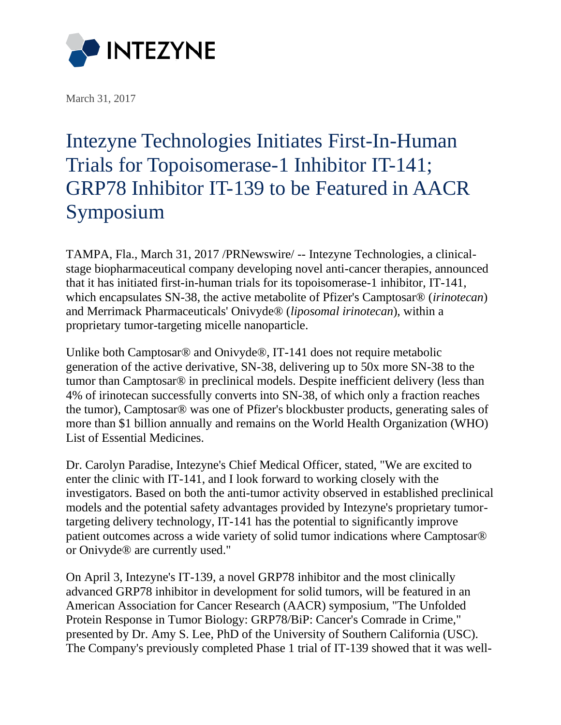

[March 31, 2017](http://intezyne.com/press-releases/2017/3/31/intezyne-technologies-initiates-first-in-human-trials-for-topoisomerase-1-inhibitor-it-141-grp78-inhibitor-it-139-to-be-featured-in-aacr-symposium)

## [Intezyne Technologies Initiates First-In-Human](http://www.prnewswire.com/news-releases/intezyne-technologies-initiates-first-in-human-trials-for-topoisomerase-1-inhibitor-it-141-grp78-inhibitor-it-139-to-be-featured-in-aacr-symposium-300432750.html)  [Trials for Topoisomerase-1 Inhibitor IT-141;](http://www.prnewswire.com/news-releases/intezyne-technologies-initiates-first-in-human-trials-for-topoisomerase-1-inhibitor-it-141-grp78-inhibitor-it-139-to-be-featured-in-aacr-symposium-300432750.html)  [GRP78 Inhibitor IT-139 to be Featured in AACR](http://www.prnewswire.com/news-releases/intezyne-technologies-initiates-first-in-human-trials-for-topoisomerase-1-inhibitor-it-141-grp78-inhibitor-it-139-to-be-featured-in-aacr-symposium-300432750.html)  [Symposium](http://www.prnewswire.com/news-releases/intezyne-technologies-initiates-first-in-human-trials-for-topoisomerase-1-inhibitor-it-141-grp78-inhibitor-it-139-to-be-featured-in-aacr-symposium-300432750.html)

TAMPA, Fla., March 31, 2017 /PRNewswire/ -- Intezyne Technologies, a clinicalstage biopharmaceutical company developing novel anti-cancer therapies, announced that it has initiated first-in-human trials for its topoisomerase-1 inhibitor, IT-141, which encapsulates SN-38, the active metabolite of Pfizer's Camptosar® (*irinotecan*) and Merrimack Pharmaceuticals' Onivyde® (*liposomal irinotecan*), within a proprietary tumor-targeting micelle nanoparticle.

Unlike both Camptosar® and Onivyde®, IT-141 does not require metabolic generation of the active derivative, SN-38, delivering up to 50x more SN-38 to the tumor than Camptosar® in preclinical models. Despite inefficient delivery (less than 4% of irinotecan successfully converts into SN-38, of which only a fraction reaches the tumor), Camptosar® was one of Pfizer's blockbuster products, generating sales of more than \$1 billion annually and remains on the World Health Organization (WHO) List of Essential Medicines.

Dr. Carolyn Paradise, Intezyne's Chief Medical Officer, stated, "We are excited to enter the clinic with IT-141, and I look forward to working closely with the investigators. Based on both the anti-tumor activity observed in established preclinical models and the potential safety advantages provided by Intezyne's proprietary tumortargeting delivery technology, IT-141 has the potential to significantly improve patient outcomes across a wide variety of solid tumor indications where Camptosar® or Onivyde® are currently used."

On April 3, Intezyne's IT-139, a novel GRP78 inhibitor and the most clinically advanced GRP78 inhibitor in development for solid tumors, will be featured in an American Association for Cancer Research (AACR) symposium, "The Unfolded Protein Response in Tumor Biology: GRP78/BiP: Cancer's Comrade in Crime," presented by Dr. Amy S. Lee, PhD of the University of Southern California (USC). The Company's previously completed Phase 1 trial of IT-139 showed that it was well-